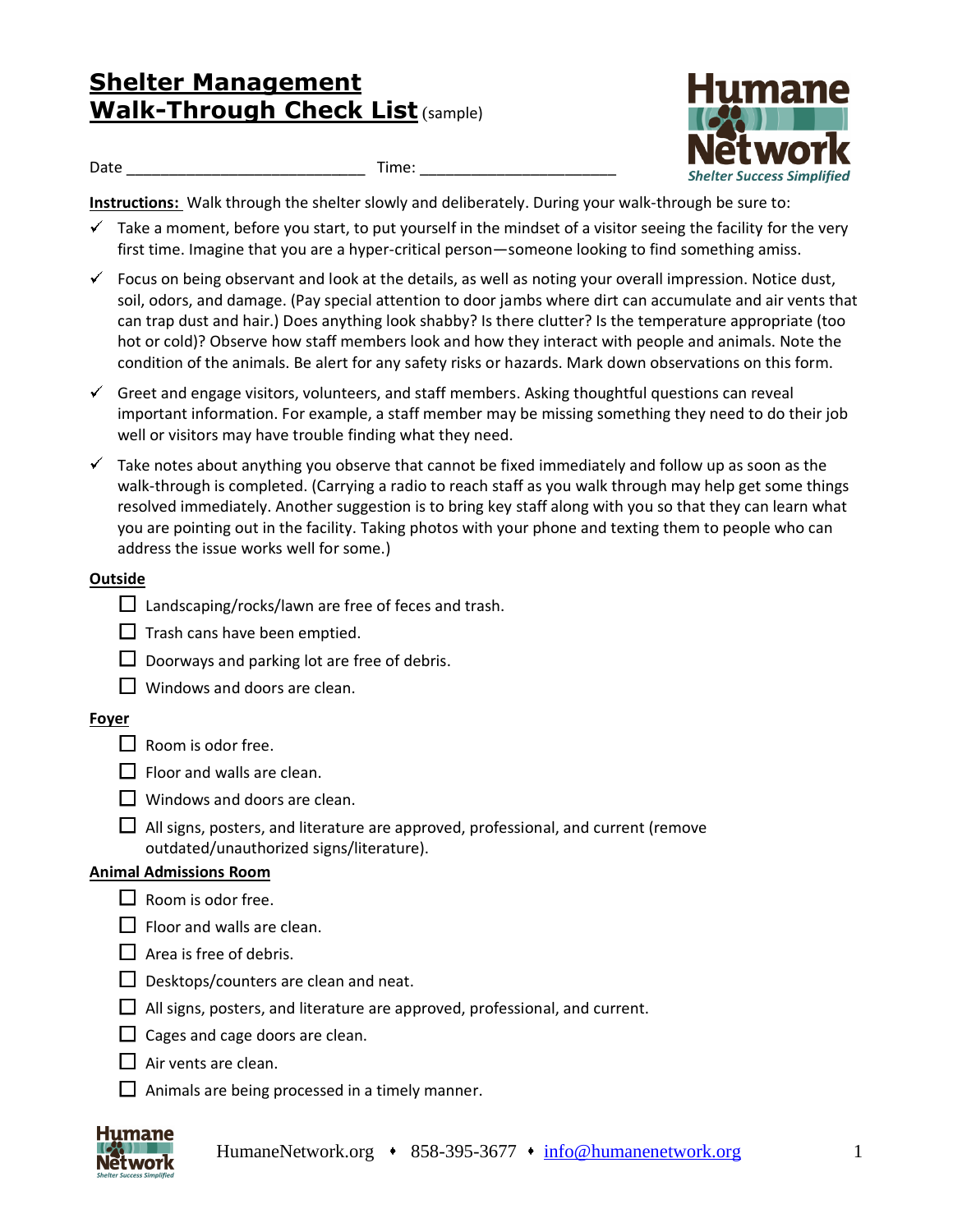# **Shelter Management Walk-Through Check List** (sample)



Date \_\_\_\_\_\_\_\_\_\_\_\_\_\_\_\_\_\_\_\_\_\_\_\_\_\_\_\_ Time: \_\_\_\_\_\_\_\_\_\_\_\_\_\_\_\_\_\_\_\_\_\_\_

**Instructions:** Walk through the shelter slowly and deliberately. During your walk-through be sure to:

- $\checkmark$  Take a moment, before you start, to put yourself in the mindset of a visitor seeing the facility for the very first time. Imagine that you are a hyper-critical person—someone looking to find something amiss.
- $\checkmark$  Focus on being observant and look at the details, as well as noting your overall impression. Notice dust, soil, odors, and damage. (Pay special attention to door jambs where dirt can accumulate and air vents that can trap dust and hair.) Does anything look shabby? Is there clutter? Is the temperature appropriate (too hot or cold)? Observe how staff members look and how they interact with people and animals. Note the condition of the animals. Be alert for any safety risks or hazards. Mark down observations on this form.
- $\checkmark$  Greet and engage visitors, volunteers, and staff members. Asking thoughtful questions can reveal important information. For example, a staff member may be missing something they need to do their job well or visitors may have trouble finding what they need.
- $\checkmark$  Take notes about anything you observe that cannot be fixed immediately and follow up as soon as the walk-through is completed. (Carrying a radio to reach staff as you walk through may help get some things resolved immediately. Another suggestion is to bring key staff along with you so that they can learn what you are pointing out in the facility. Taking photos with your phone and texting them to people who can address the issue works well for some.)

### **Outside**

- $\Box$  Landscaping/rocks/lawn are free of feces and trash.
- $\Box$  Trash cans have been emptied.
- $\Box$  Doorways and parking lot are free of debris.
- $\Box$  Windows and doors are clean.

## **Foyer**

- $\Box$  Room is odor free.
- $\Box$  Floor and walls are clean.
- $\Box$  Windows and doors are clean.
- $\Box$  All signs, posters, and literature are approved, professional, and current (remove outdated/unauthorized signs/literature).

### **Animal Admissions Room**

- $\Box$  Room is odor free.
- $\Box$  Floor and walls are clean.
- $\Box$  Area is free of debris.
- $\Box$  Desktops/counters are clean and neat.
- $\Box$  All signs, posters, and literature are approved, professional, and current.
- $\Box$  Cages and cage doors are clean.
- $\Box$  Air vents are clean.
- $\Box$  Animals are being processed in a timely manner.

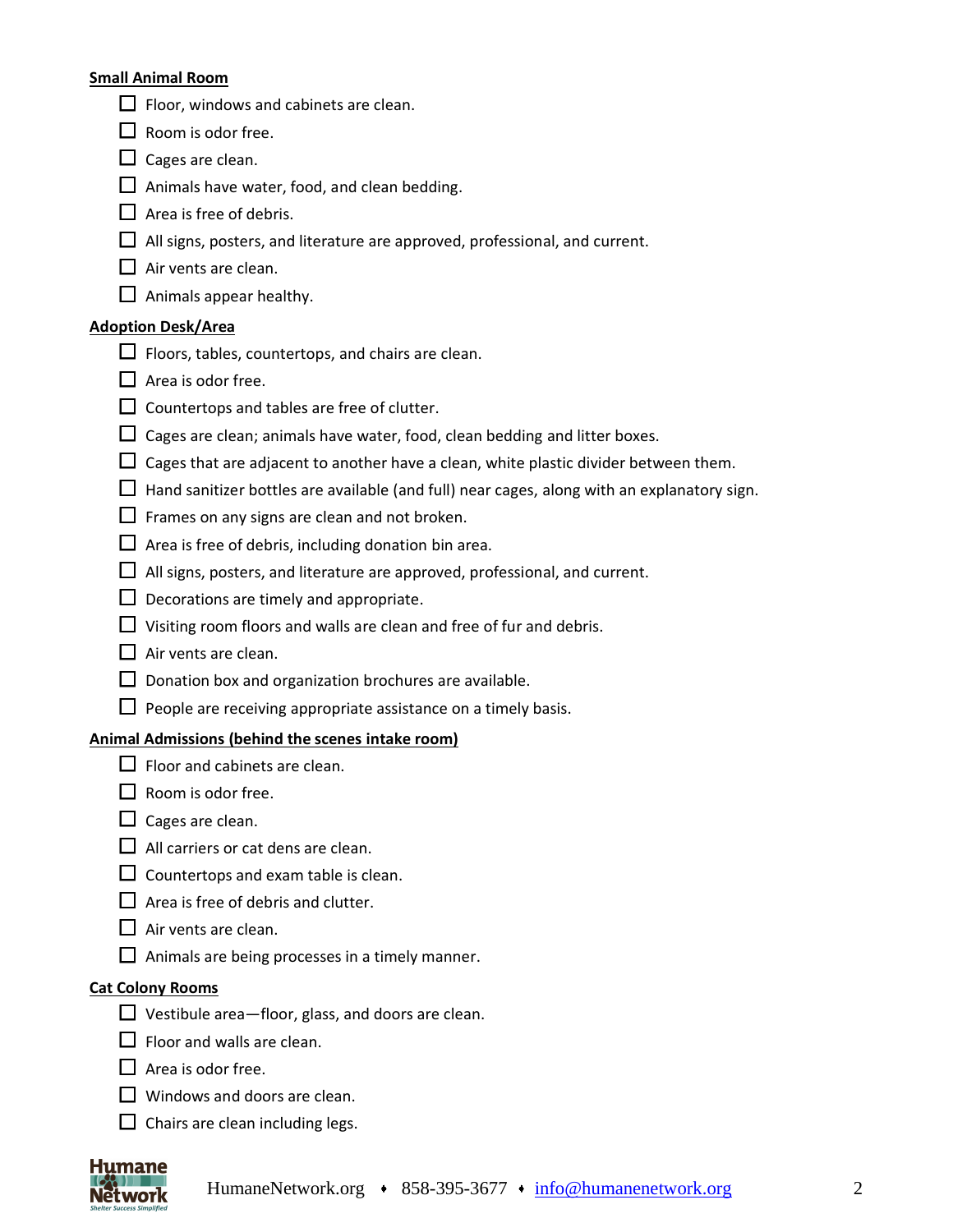#### **Small Animal Room**

- $\Box$  Floor, windows and cabinets are clean.
- $\Box$  Room is odor free.
- $\Box$  Cages are clean.
- $\Box$  Animals have water, food, and clean bedding.
- $\Box$  Area is free of debris.
- $\Box$  All signs, posters, and literature are approved, professional, and current.
- $\Box$  Air vents are clean.
- $\Box$  Animals appear healthy.

## **Adoption Desk/Area**

- $\Box$  Floors, tables, countertops, and chairs are clean.
- $\Box$  Area is odor free.
- $\Box$  Countertops and tables are free of clutter.
- $\Box$  Cages are clean; animals have water, food, clean bedding and litter boxes.
- $\Box$  Cages that are adjacent to another have a clean, white plastic divider between them.
- $\Box$  Hand sanitizer bottles are available (and full) near cages, along with an explanatory sign.
- $\Box$  Frames on any signs are clean and not broken.
- $\Box$  Area is free of debris, including donation bin area.
- $\Box$  All signs, posters, and literature are approved, professional, and current.
- $\Box$  Decorations are timely and appropriate.
- $\Box$  Visiting room floors and walls are clean and free of fur and debris.
- $\Box$  Air vents are clean.
- $\square$  Donation box and organization brochures are available.
- $\Box$  People are receiving appropriate assistance on a timely basis.

### **Animal Admissions (behind the scenes intake room)**

- $\Box$  Floor and cabinets are clean.
- $\Box$  Room is odor free.
- $\Box$  Cages are clean.
- $\Box$  All carriers or cat dens are clean.
- $\square$  Countertops and exam table is clean.
- $\Box$  Area is free of debris and clutter.
- $\Box$  Air vents are clean.
- $\Box$  Animals are being processes in a timely manner.

### **Cat Colony Rooms**

- $\Box$  Vestibule area-floor, glass, and doors are clean.
- $\Box$  Floor and walls are clean.
- $\Box$  Area is odor free.
- $\Box$  Windows and doors are clean.
- $\Box$  Chairs are clean including legs.

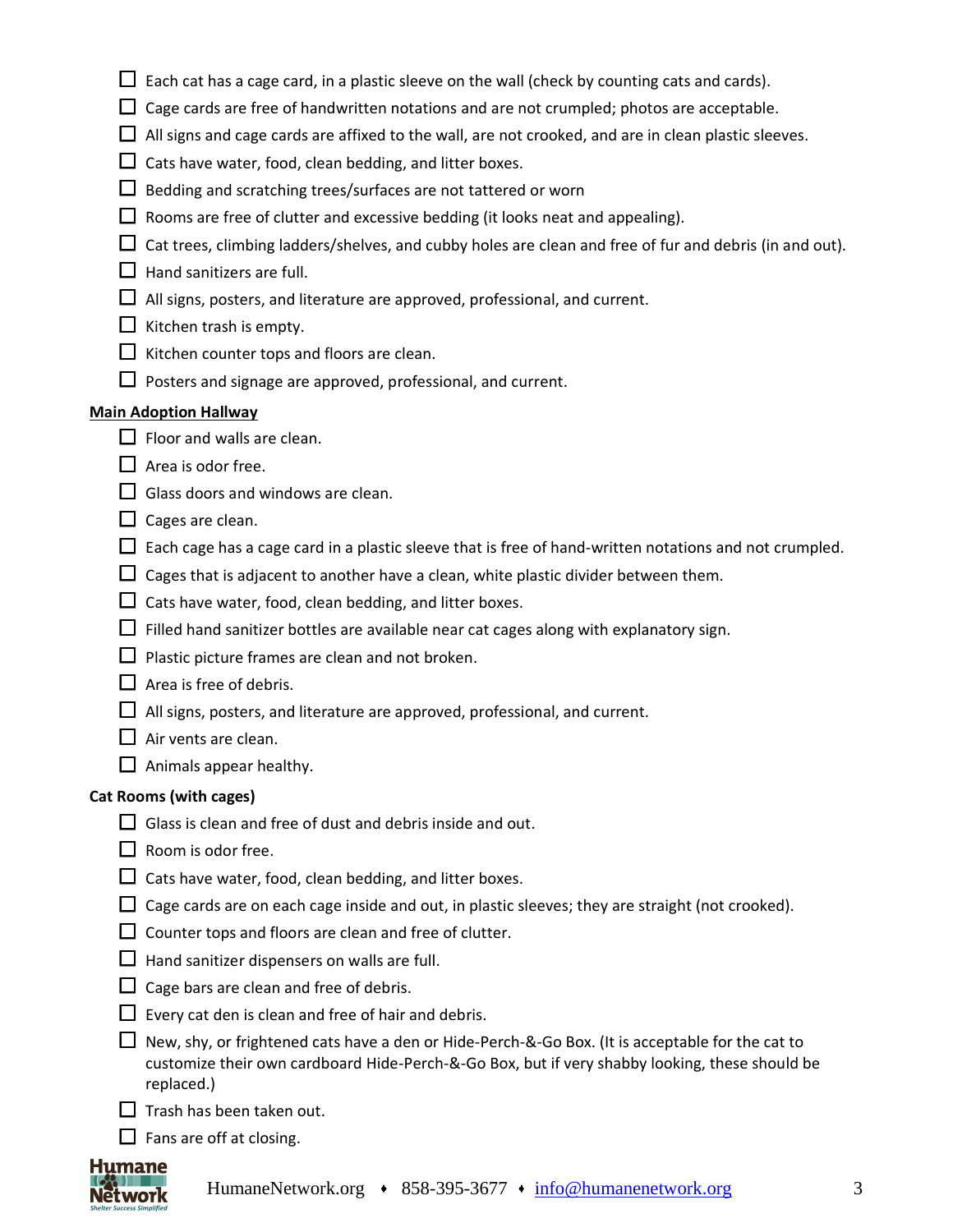- $\Box$  Each cat has a cage card, in a plastic sleeve on the wall (check by counting cats and cards).
- $\Box$  Cage cards are free of handwritten notations and are not crumpled; photos are acceptable.
- $\Box$  All signs and cage cards are affixed to the wall, are not crooked, and are in clean plastic sleeves.
- $\Box$  Cats have water, food, clean bedding, and litter boxes.
- $\Box$  Bedding and scratching trees/surfaces are not tattered or worn
- $\Box$  Rooms are free of clutter and excessive bedding (it looks neat and appealing).
- $\Box$  Cat trees, climbing ladders/shelves, and cubby holes are clean and free of fur and debris (in and out).
- $\Box$  Hand sanitizers are full.
- $\Box$  All signs, posters, and literature are approved, professional, and current.
- $\Box$  Kitchen trash is empty.
- $\Box$  Kitchen counter tops and floors are clean.
- $\Box$  Posters and signage are approved, professional, and current.

### **Main Adoption Hallway**

- $\Box$  Floor and walls are clean.
- $\Box$  Area is odor free.
- $\Box$  Glass doors and windows are clean.
- $\Box$  Cages are clean.
- $\Box$  Each cage has a cage card in a plastic sleeve that is free of hand-written notations and not crumpled.
- $\Box$  Cages that is adjacent to another have a clean, white plastic divider between them.
- $\Box$  Cats have water, food, clean bedding, and litter boxes.
- $\Box$  Filled hand sanitizer bottles are available near cat cages along with explanatory sign.
- $\Box$  Plastic picture frames are clean and not broken.
- $\Box$  Area is free of debris.
- $\Box$  All signs, posters, and literature are approved, professional, and current.
- $\Box$  Air vents are clean.
- $\Box$  Animals appear healthy.

### **Cat Rooms (with cages)**

- $\Box$  Glass is clean and free of dust and debris inside and out.
- $\Box$  Room is odor free.
- $\Box$  Cats have water, food, clean bedding, and litter boxes.
- $\Box$  Cage cards are on each cage inside and out, in plastic sleeves; they are straight (not crooked).
- $\Box$  Counter tops and floors are clean and free of clutter.
- $\Box$  Hand sanitizer dispensers on walls are full.
- $\Box$  Cage bars are clean and free of debris.
- $\Box$  Every cat den is clean and free of hair and debris.
- $\Box$  New, shy, or frightened cats have a den or Hide-Perch-&-Go Box. (It is acceptable for the cat to customize their own cardboard Hide-Perch-&-Go Box, but if very shabby looking, these should be replaced.)
- $\Box$  Trash has been taken out.
- $\Box$  Fans are off at closing.

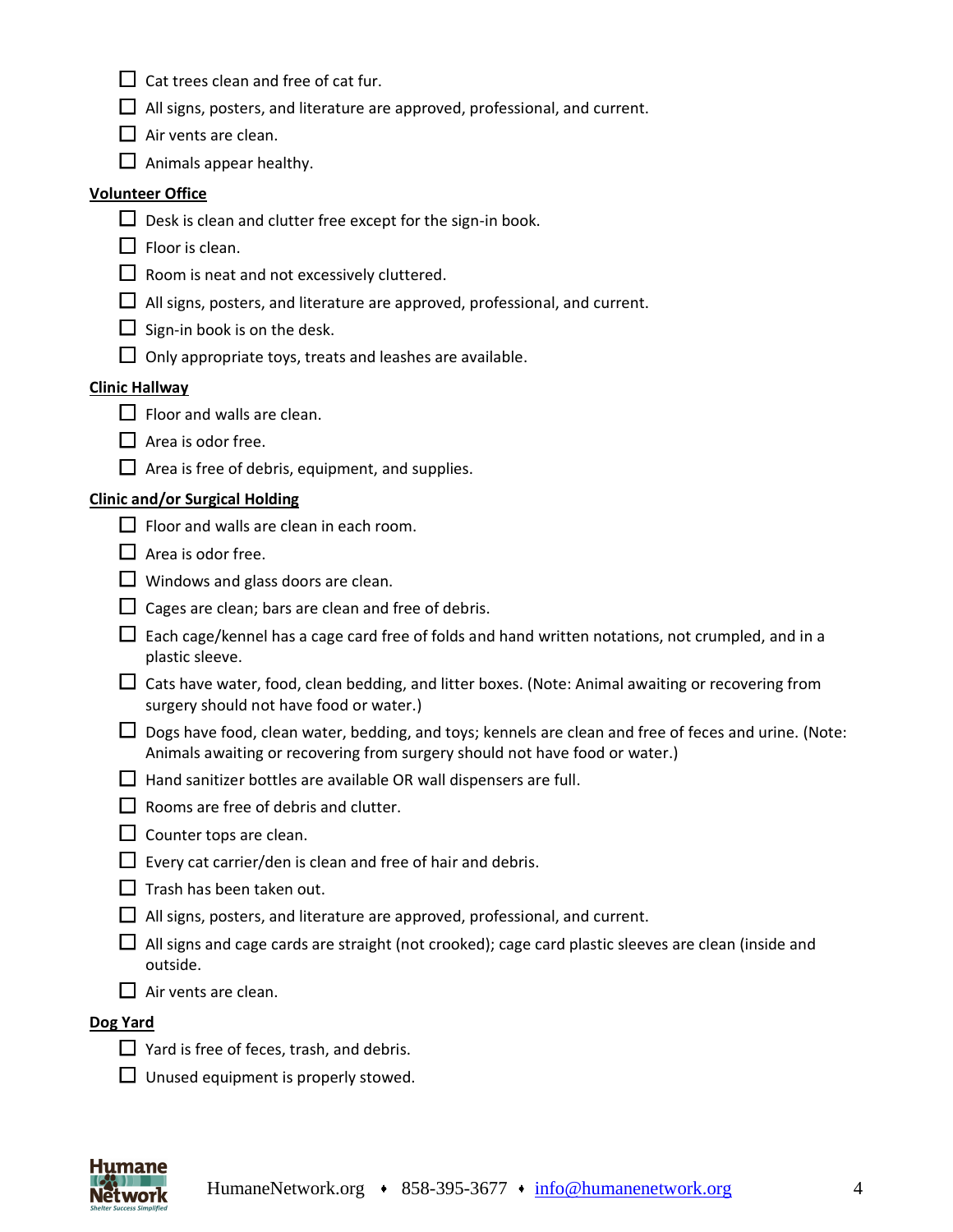| $\Box$ Cat trees clean and free of cat fur. |  |  |
|---------------------------------------------|--|--|
|---------------------------------------------|--|--|

- $\Box$  All signs, posters, and literature are approved, professional, and current.
- $\Box$  Air vents are clean.
- $\Box$  Animals appear healthy.

### **Volunteer Office**

- $\Box$  Desk is clean and clutter free except for the sign-in book.
- $\Box$  Floor is clean.
- $\Box$  Room is neat and not excessively cluttered.
- $\Box$  All signs, posters, and literature are approved, professional, and current.
- $\Box$  Sign-in book is on the desk.
- $\Box$  Only appropriate toys, treats and leashes are available.

### **Clinic Hallway**

- $\Box$  Floor and walls are clean.
- $\Box$  Area is odor free.
- $\Box$  Area is free of debris, equipment, and supplies.

### **Clinic and/or Surgical Holding**

- $\Box$  Floor and walls are clean in each room.
- $\Box$  Area is odor free.
- $\Box$  Windows and glass doors are clean.
- $\Box$  Cages are clean; bars are clean and free of debris.
- $\Box$  Each cage/kennel has a cage card free of folds and hand written notations, not crumpled, and in a plastic sleeve.
- $\Box$  Cats have water, food, clean bedding, and litter boxes. (Note: Animal awaiting or recovering from surgery should not have food or water.)
- Dogs have food, clean water, bedding, and toys; kennels are clean and free of feces and urine. (Note: Animals awaiting or recovering from surgery should not have food or water.)
- $\Box$  Hand sanitizer bottles are available OR wall dispensers are full.
- $\Box$  Rooms are free of debris and clutter.
- $\Box$  Counter tops are clean.
- $\Box$  Every cat carrier/den is clean and free of hair and debris.
- $\Box$  Trash has been taken out.
- $\Box$  All signs, posters, and literature are approved, professional, and current.
- $\Box$  All signs and cage cards are straight (not crooked); cage card plastic sleeves are clean (inside and outside.
- $\Box$  Air vents are clean.

### **Dog Yard**

- $\Box$  Yard is free of feces, trash, and debris.
- $\Box$  Unused equipment is properly stowed.

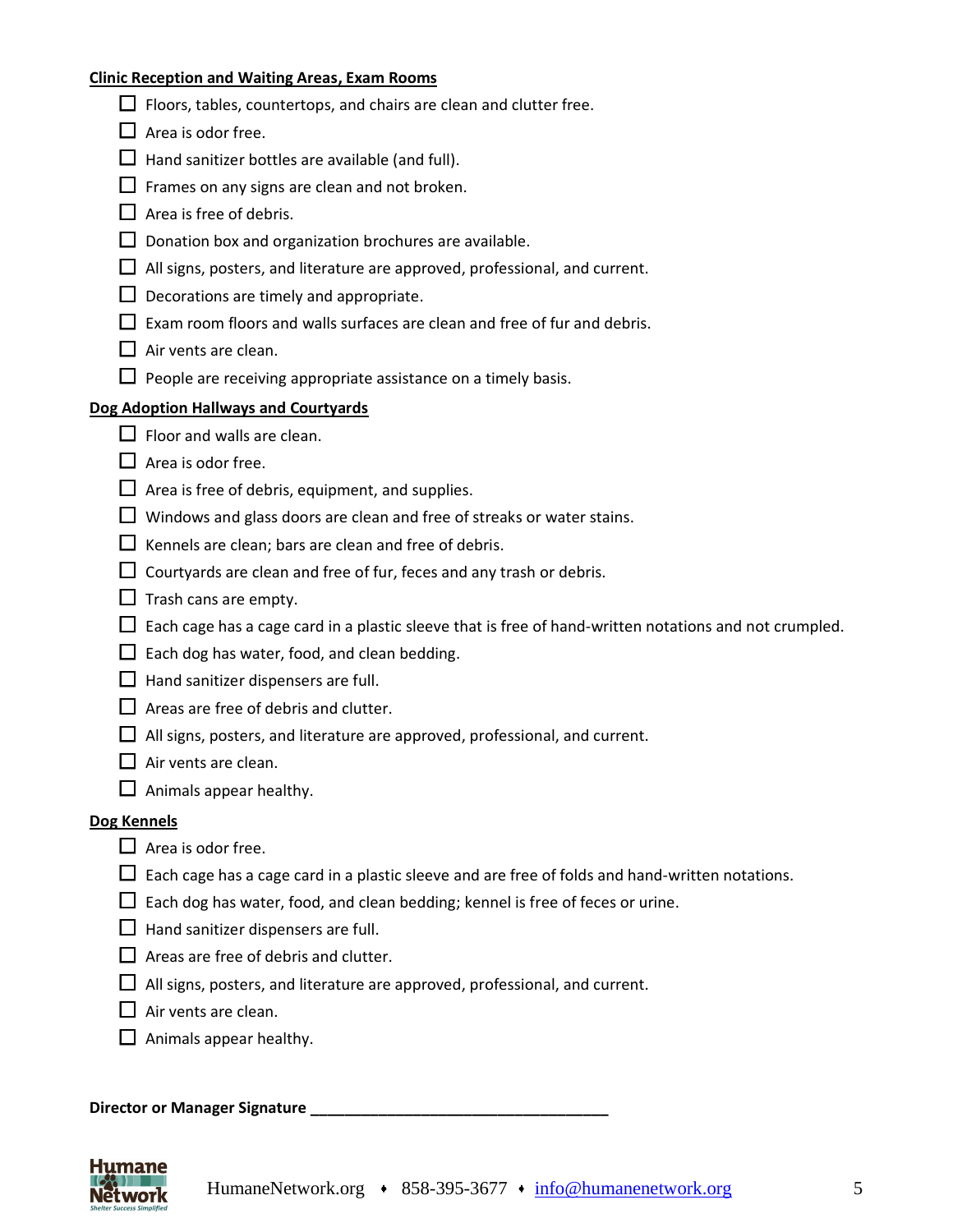#### **Clinic Reception and Waiting Areas, Exam Rooms**

- $\Box$  Floors, tables, countertops, and chairs are clean and clutter free.
- $\Box$  Area is odor free.
- $\Box$  Hand sanitizer bottles are available (and full).
- $\Box$  Frames on any signs are clean and not broken.
- $\Box$  Area is free of debris.
- $\Box$  Donation box and organization brochures are available.
- $\Box$  All signs, posters, and literature are approved, professional, and current.
- $\Box$  Decorations are timely and appropriate.
- $\Box$  Exam room floors and walls surfaces are clean and free of fur and debris.
- $\Box$  Air vents are clean.
- $\Box$  People are receiving appropriate assistance on a timely basis.

### **Dog Adoption Hallways and Courtyards**

- $\Box$  Floor and walls are clean.
- $\Box$  Area is odor free.
- $\Box$  Area is free of debris, equipment, and supplies.
- $\Box$  Windows and glass doors are clean and free of streaks or water stains.
- $\Box$  Kennels are clean; bars are clean and free of debris.
- $\Box$  Courtyards are clean and free of fur, feces and any trash or debris.
- $\Box$  Trash cans are empty.
- $\Box$  Each cage has a cage card in a plastic sleeve that is free of hand-written notations and not crumpled.
- $\Box$  Each dog has water, food, and clean bedding.
- $\Box$  Hand sanitizer dispensers are full.
- $\Box$  Areas are free of debris and clutter.
- $\Box$  All signs, posters, and literature are approved, professional, and current.
- $\Box$  Air vents are clean.
- $\Box$  Animals appear healthy.

### **Dog Kennels**

- $\Box$  Area is odor free.
- $\Box$  Each cage has a cage card in a plastic sleeve and are free of folds and hand-written notations.
- $\Box$  Each dog has water, food, and clean bedding; kennel is free of feces or urine.
- $\Box$  Hand sanitizer dispensers are full.
- $\Box$  Areas are free of debris and clutter.
- $\Box$  All signs, posters, and literature are approved, professional, and current.
- $\Box$  Air vents are clean.
- $\Box$  Animals appear healthy.

# **Director or Manager Signature \_\_\_\_\_\_\_\_\_\_\_\_\_\_\_\_\_\_\_\_\_\_\_\_\_\_\_\_\_\_\_\_\_\_\_**